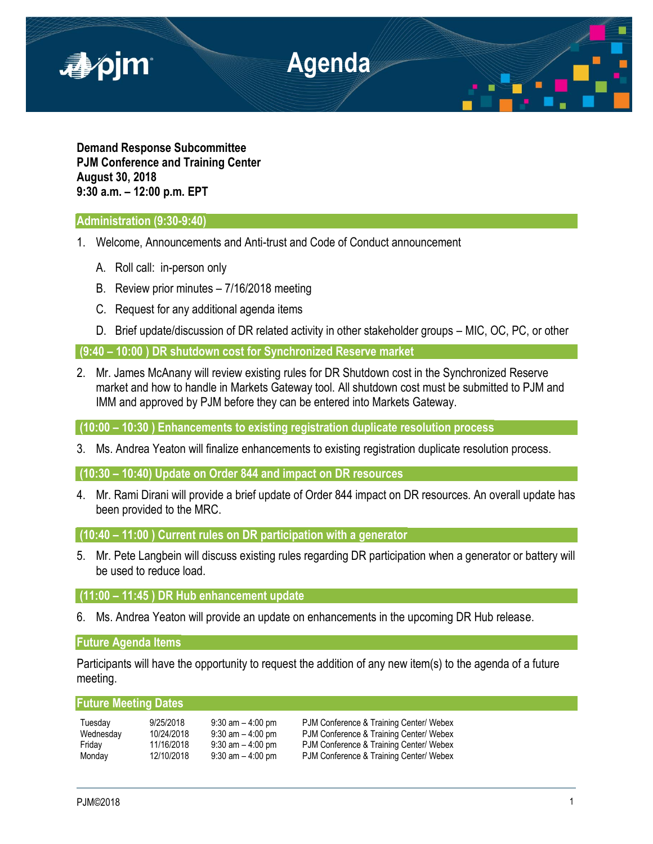

**Demand Response Subcommittee PJM Conference and Training Center August 30, 2018 9:30 a.m. – 12:00 p.m. EPT**

# **Administration (9:30-9:40)**

- 1. Welcome, Announcements and Anti-trust and Code of Conduct announcement
	- A. Roll call: in-person only
	- B. Review prior minutes 7/16/2018 meeting
	- C. Request for any additional agenda items
	- D. Brief update/discussion of DR related activity in other stakeholder groups MIC, OC, PC, or other

**(9:40 – 10:00 ) DR shutdown cost for Synchronized Reserve market** 

2. Mr. James McAnany will review existing rules for DR Shutdown cost in the Synchronized Reserve market and how to handle in Markets Gateway tool. All shutdown cost must be submitted to PJM and IMM and approved by PJM before they can be entered into Markets Gateway.

**(10:00 – 10:30 ) Enhancements to existing registration duplicate resolution process**

3. Ms. Andrea Yeaton will finalize enhancements to existing registration duplicate resolution process.

**(10:30 – 10:40) Update on Order 844 and impact on DR resources**

4. Mr. Rami Dirani will provide a brief update of Order 844 impact on DR resources. An overall update has been provided to the MRC.

**(10:40 – 11:00 ) Current rules on DR participation with a generator**

5. Mr. Pete Langbein will discuss existing rules regarding DR participation when a generator or battery will be used to reduce load.

## **(11:00 – 11:45 ) DR Hub enhancement update**

6. Ms. Andrea Yeaton will provide an update on enhancements in the upcoming DR Hub release.

# **Future Agenda Items**

Participants will have the opportunity to request the addition of any new item(s) to the agenda of a future meeting.

# **Future Meeting Dates**

| Tuesdav   | 9/25/2018  | $9:30$ am $-4:00$ pm | PJM Conference & Training Center/ Webex |
|-----------|------------|----------------------|-----------------------------------------|
| Wednesday | 10/24/2018 | $9:30$ am $-4:00$ pm | PJM Conference & Training Center/ Webex |
| Friday    | 11/16/2018 | $9:30$ am $-4:00$ pm | PJM Conference & Training Center/ Webex |
| Monday    | 12/10/2018 | $9:30$ am $-4:00$ pm | PJM Conference & Training Center/ Webex |